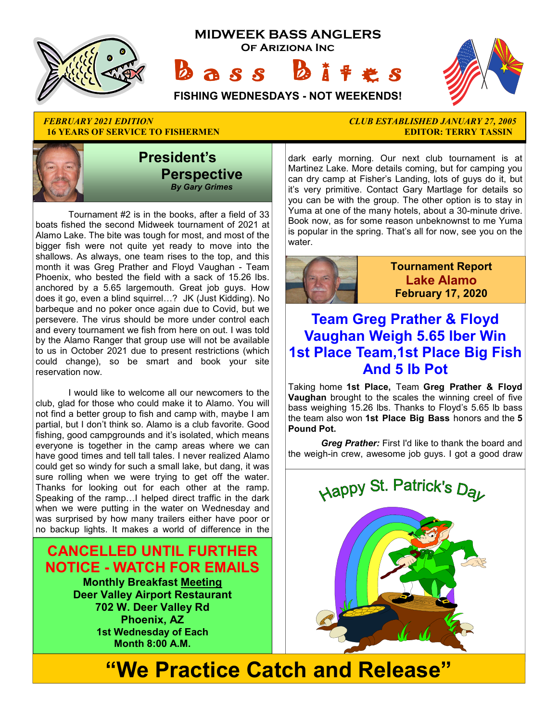

## **16 YEARS OF SERVICE TO FISHERMEN EXECUTE: THE SERVICE TO FISHERMEN EDITOR: TERRY TASSIN**



 Tournament #2 is in the books, after a field of 33 boats fished the second Midweek tournament of 2021 at Alamo Lake. The bite was tough for most, and most of the bigger fish were not quite yet ready to move into the shallows. As always, one team rises to the top, and this month it was Greg Prather and Floyd Vaughan - Team Phoenix, who bested the field with a sack of 15.26 lbs. anchored by a 5.65 largemouth. Great job guys. How does it go, even a blind squirrel…? JK (Just Kidding). No barbeque and no poker once again due to Covid, but we persevere. The virus should be more under control each and every tournament we fish from here on out. I was told by the Alamo Ranger that group use will not be available to us in October 2021 due to present restrictions (which could change), so be smart and book your site reservation now.

 I would like to welcome all our newcomers to the club, glad for those who could make it to Alamo. You will not find a better group to fish and camp with, maybe I am partial, but I don't think so. Alamo is a club favorite. Good fishing, good campgrounds and it's isolated, which means everyone is together in the camp areas where we can have good times and tell tall tales. I never realized Alamo could get so windy for such a small lake, but dang, it was sure rolling when we were trying to get off the water. Thanks for looking out for each other at the ramp. Speaking of the ramp…I helped direct traffic in the dark when we were putting in the water on Wednesday and was surprised by how many trailers either have poor or no backup lights. It makes a world of difference in the

### **CANCELLED UNTIL FURTHER NOTICE - WATCH FOR EMAILS**

**Monthly Breakfast Meeting Deer Valley Airport Restaurant 702 W. Deer Valley Rd Phoenix, AZ 1st Wednesday of Each Month 8:00 A.M.** 

# *FEBRUARY 2021 EDITION CLUB ESTABLISHED JANUARY 27, 2005*

dark early morning. Our next club tournament is at Martinez Lake. More details coming, but for camping you can dry camp at Fisher's Landing, lots of guys do it, but it's very primitive. Contact Gary Martlage for details so you can be with the group. The other option is to stay in Yuma at one of the many hotels, about a 30-minute drive. Book now, as for some reason unbeknownst to me Yuma is popular in the spring. That's all for now, see you on the water.



**Tournament Report Lake Alamo February 17, 2020**

### **Team Greg Prather & Floyd Vaughan Weigh 5.65 lber Win 1st Place Team,1st Place Big Fish And 5 lb Pot**

Taking home **1st Place,** Team **Greg Prather & Floyd Vaughan** brought to the scales the winning creel of five bass weighing 15.26 lbs. Thanks to Floyd's 5.65 lb bass the team also won **1st Place Big Bass** honors and the **5 Pound Pot.** 

*Greg Prather:* First I'd like to thank the board and the weigh-in crew, awesome job guys. I got a good draw



**"We Practice Catch and Release"**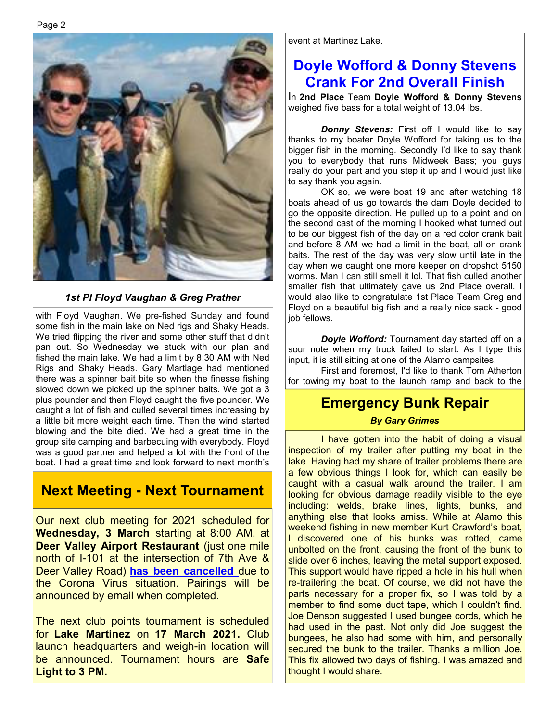#### *1st Pl Floyd Vaughan & Greg Prather*

with Floyd Vaughan. We pre-fished Sunday and found some fish in the main lake on Ned rigs and Shaky Heads. We tried flipping the river and some other stuff that didn't pan out. So Wednesday we stuck with our plan and fished the main lake. We had a limit by 8:30 AM with Ned Rigs and Shaky Heads. Gary Martlage had mentioned there was a spinner bait bite so when the finesse fishing slowed down we picked up the spinner baits. We got a 3 plus pounder and then Floyd caught the five pounder. We caught a lot of fish and culled several times increasing by a little bit more weight each time. Then the wind started blowing and the bite died. We had a great time in the group site camping and barbecuing with everybody. Floyd was a good partner and helped a lot with the front of the boat. I had a great time and look forward to next month's

### **Next Meeting - Next Tournament**

Our next club meeting for 2021 scheduled for **Wednesday, 3 March** starting at 8:00 AM, at **Deer Valley Airport Restaurant** (just one mile north of I-101 at the intersection of 7th Ave & Deer Valley Road) **has been cancelled** due to the Corona Virus situation. Pairings will be announced by email when completed.

The next club points tournament is scheduled for **Lake Martinez** on **17 March 2021.** Club launch headquarters and weigh-in location will be announced. Tournament hours are **Safe Light to 3 PM.** 

event at Martinez Lake.

### **Doyle Wofford & Donny Stevens Crank For 2nd Overall Finish**

In **2nd Place** Team **Doyle Wofford & Donny Stevens**  weighed five bass for a total weight of 13.04 lbs.

**Donny Stevens:** First off I would like to say thanks to my boater Doyle Wofford for taking us to the bigger fish in the morning. Secondly I'd like to say thank you to everybody that runs Midweek Bass; you guys really do your part and you step it up and I would just like to say thank you again.

 OK so, we were boat 19 and after watching 18 boats ahead of us go towards the dam Doyle decided to go the opposite direction. He pulled up to a point and on the second cast of the morning I hooked what turned out to be our biggest fish of the day on a red color crank bait and before 8 AM we had a limit in the boat, all on crank baits. The rest of the day was very slow until late in the day when we caught one more keeper on dropshot 5150 worms. Man I can still smell it lol. That fish culled another smaller fish that ultimately gave us 2nd Place overall. I would also like to congratulate 1st Place Team Greg and Floyd on a beautiful big fish and a really nice sack - good iob fellows.

 *Doyle Wofford:* Tournament day started off on a sour note when my truck failed to start. As I type this input, it is still sitting at one of the Alamo campsites.

 First and foremost, I'd like to thank Tom Atherton for towing my boat to the launch ramp and back to the

### **Emergency Bunk Repair**

#### *By Gary Grimes*

 I have gotten into the habit of doing a visual inspection of my trailer after putting my boat in the lake. Having had my share of trailer problems there are a few obvious things I look for, which can easily be caught with a casual walk around the trailer. I am looking for obvious damage readily visible to the eye including: welds, brake lines, lights, bunks, and anything else that looks amiss. While at Alamo this weekend fishing in new member Kurt Crawford's boat, I discovered one of his bunks was rotted, came unbolted on the front, causing the front of the bunk to slide over 6 inches, leaving the metal support exposed. This support would have ripped a hole in his hull when re-trailering the boat. Of course, we did not have the parts necessary for a proper fix, so I was told by a member to find some duct tape, which I couldn't find. Joe Denson suggested I used bungee cords, which he had used in the past. Not only did Joe suggest the bungees, he also had some with him, and personally secured the bunk to the trailer. Thanks a million Joe. This fix allowed two days of fishing. I was amazed and thought I would share.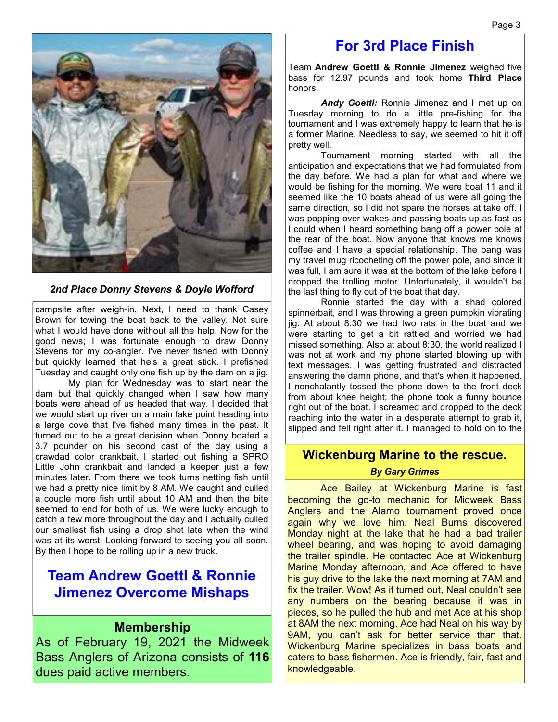

#### *2nd Place Donny Stevens & Doyle Wofford*

campsite after weigh-in. Next, I need to thank Casey Brown for towing the boat back to the valley. Not sure what I would have done without all the help. Now for the good news; I was fortunate enough to draw Donny Stevens for my co-angler. I've never fished with Donny but quickly learned that he's a great stick. I prefished Tuesday and caught only one fish up by the dam on a jig.

 My plan for Wednesday was to start near the dam but that quickly changed when I saw how many boats were ahead of us headed that way. I decided that we would start up river on a main lake point heading into a large cove that I've fished many times in the past. It turned out to be a great decision when Donny boated a 3.7 pounder on his second cast of the day using a crawdad color crankbait. I started out fishing a SPRO Little John crankbait and landed a keeper just a few minutes later. From there we took turns netting fish until we had a pretty nice limit by 8 AM. We caught and culled a couple more fish until about 10 AM and then the bite seemed to end for both of us. We were lucky enough to catch a few more throughout the day and I actually culled our smallest fish using a drop shot late when the wind was at its worst. Looking forward to seeing you all soon. By then I hope to be rolling up in a new truck.

### **Team Andrew Goettl & Ronnie Jimenez Overcome Mishaps**

#### **Membership**

As of February 19, 2021 the Midweek Bass Anglers of Arizona consists of **116**  dues paid active members.

### **For 3rd Place Finish**

Team **Andrew Goettl & Ronnie Jimenez** weighed five bass for 12.97 pounds and took home **Third Place**  honors.

*Andy Goettl:* Ronnie Jimenez and I met up on Tuesday morning to do a little pre-fishing for the tournament and I was extremely happy to learn that he is a former Marine. Needless to say, we seemed to hit it off pretty well.

 Tournament morning started with all the anticipation and expectations that we had formulated from the day before. We had a plan for what and where we would be fishing for the morning. We were boat 11 and it seemed like the 10 boats ahead of us were all going the same direction, so I did not spare the horses at take off. I was popping over wakes and passing boats up as fast as I could when I heard something bang off a power pole at the rear of the boat. Now anyone that knows me knows coffee and I have a special relationship. The bang was my travel mug ricocheting off the power pole, and since it was full, I am sure it was at the bottom of the lake before I dropped the trolling motor. Unfortunately, it wouldn't be the last thing to fly out of the boat that day.

 Ronnie started the day with a shad colored spinnerbait, and I was throwing a green pumpkin vibrating jig. At about 8:30 we had two rats in the boat and we were starting to get a bit rattled and worried we had missed something. Also at about 8:30, the world realized I was not at work and my phone started blowing up with text messages. I was getting frustrated and distracted answering the damn phone, and that's when it happened. I nonchalantly tossed the phone down to the front deck from about knee height; the phone took a funny bounce right out of the boat. I screamed and dropped to the deck reaching into the water in a desperate attempt to grab it, slipped and fell right after it. I managed to hold on to the

#### **Wickenburg Marine to the rescue.**

#### *By Gary Grimes*

 Ace Bailey at Wickenburg Marine is fast becoming the go-to mechanic for Midweek Bass Anglers and the Alamo tournament proved once again why we love him. Neal Burns discovered Monday night at the lake that he had a bad trailer wheel bearing, and was hoping to avoid damaging the trailer spindle. He contacted Ace at Wickenburg Marine Monday afternoon, and Ace offered to have his guy drive to the lake the next morning at 7AM and fix the trailer. Wow! As it turned out, Neal couldn't see any numbers on the bearing because it was in pieces, so he pulled the hub and met Ace at his shop at 8AM the next morning. Ace had Neal on his way by 9AM, you can't ask for better service than that. Wickenburg Marine specializes in bass boats and caters to bass fishermen. Ace is friendly, fair, fast and knowledgeable.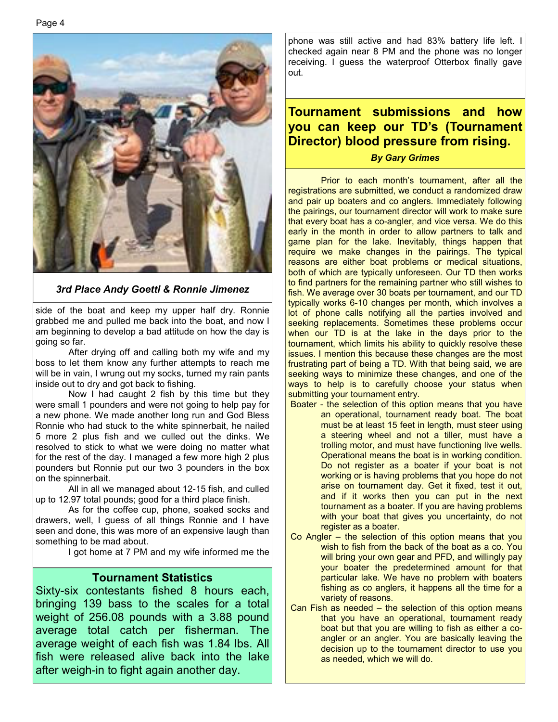

*3rd Place Andy Goettl & Ronnie Jimenez*

side of the boat and keep my upper half dry. Ronnie grabbed me and pulled me back into the boat, and now I am beginning to develop a bad attitude on how the day is going so far.

 After drying off and calling both my wife and my boss to let them know any further attempts to reach me will be in vain, I wrung out my socks, turned my rain pants inside out to dry and got back to fishing.

 Now I had caught 2 fish by this time but they were small 1 pounders and were not going to help pay for a new phone. We made another long run and God Bless Ronnie who had stuck to the white spinnerbait, he nailed 5 more 2 plus fish and we culled out the dinks. We resolved to stick to what we were doing no matter what for the rest of the day. I managed a few more high 2 plus pounders but Ronnie put our two 3 pounders in the box on the spinnerbait.

 All in all we managed about 12-15 fish, and culled up to 12.97 total pounds; good for a third place finish.

 As for the coffee cup, phone, soaked socks and drawers, well, I guess of all things Ronnie and I have seen and done, this was more of an expensive laugh than something to be mad about.

I got home at 7 PM and my wife informed me the

#### **Tournament Statistics**

Sixty-six contestants fished 8 hours each, bringing 139 bass to the scales for a total weight of 256.08 pounds with a 3.88 pound average total catch per fisherman. The average weight of each fish was 1.84 lbs. All fish were released alive back into the lake after weigh-in to fight again another day.

phone was still active and had 83% battery life left. I checked again near 8 PM and the phone was no longer receiving. I guess the waterproof Otterbox finally gave out.

### **Tournament submissions and how you can keep our TD's (Tournament Director) blood pressure from rising.**

#### *By Gary Grimes*

 Prior to each month's tournament, after all the registrations are submitted, we conduct a randomized draw and pair up boaters and co anglers. Immediately following the pairings, our tournament director will work to make sure that every boat has a co-angler, and vice versa. We do this early in the month in order to allow partners to talk and game plan for the lake. Inevitably, things happen that require we make changes in the pairings. The typical reasons are either boat problems or medical situations, both of which are typically unforeseen. Our TD then works to find partners for the remaining partner who still wishes to fish. We average over 30 boats per tournament, and our TD typically works 6-10 changes per month, which involves a lot of phone calls notifying all the parties involved and seeking replacements. Sometimes these problems occur when our TD is at the lake in the days prior to the tournament, which limits his ability to quickly resolve these issues. I mention this because these changes are the most frustrating part of being a TD. With that being said, we are seeking ways to minimize these changes, and one of the ways to help is to carefully choose your status when submitting your tournament entry.

- Boater the selection of this option means that you have an operational, tournament ready boat. The boat must be at least 15 feet in length, must steer using a steering wheel and not a tiller, must have a trolling motor, and must have functioning live wells. Operational means the boat is in working condition. Do not register as a boater if your boat is not working or is having problems that you hope do not arise on tournament day. Get it fixed, test it out, and if it works then you can put in the next tournament as a boater. If you are having problems with your boat that gives you uncertainty, do not register as a boater.
- Co Angler the selection of this option means that you wish to fish from the back of the boat as a co. You will bring your own gear and PFD, and willingly pay your boater the predetermined amount for that particular lake. We have no problem with boaters fishing as co anglers, it happens all the time for a variety of reasons.
- Can Fish as needed the selection of this option means that you have an operational, tournament ready boat but that you are willing to fish as either a coangler or an angler. You are basically leaving the decision up to the tournament director to use you as needed, which we will do.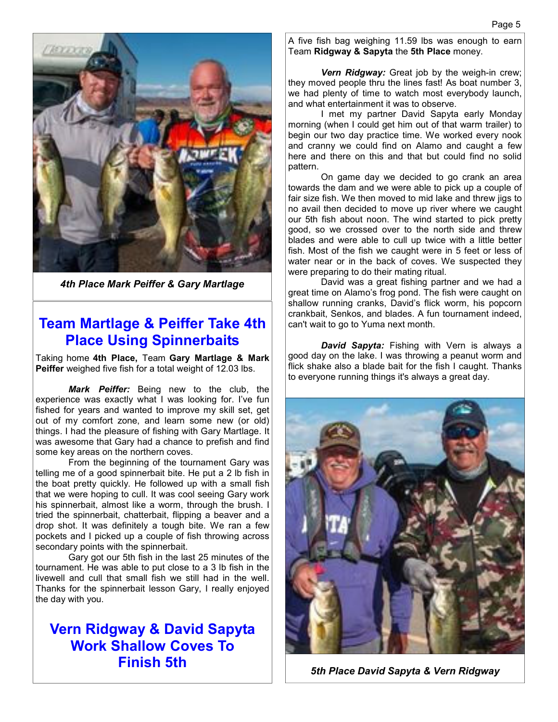

*4th Place Mark Peiffer & Gary Martlage* 

### **Team Martlage & Peiffer Take 4th Place Using Spinnerbaits**

Taking home **4th Place,** Team **Gary Martlage & Mark Peiffer** weighed five fish for a total weight of 12.03 lbs.

*Mark Peiffer:* Being new to the club, the experience was exactly what I was looking for. I've fun fished for years and wanted to improve my skill set, get out of my comfort zone, and learn some new (or old) things. I had the pleasure of fishing with Gary Martlage. It was awesome that Gary had a chance to prefish and find some key areas on the northern coves.

 From the beginning of the tournament Gary was telling me of a good spinnerbait bite. He put a 2 lb fish in the boat pretty quickly. He followed up with a small fish that we were hoping to cull. It was cool seeing Gary work his spinnerbait, almost like a worm, through the brush. I tried the spinnerbait, chatterbait, flipping a beaver and a drop shot. It was definitely a tough bite. We ran a few pockets and I picked up a couple of fish throwing across secondary points with the spinnerbait.

 Gary got our 5th fish in the last 25 minutes of the tournament. He was able to put close to a 3 lb fish in the livewell and cull that small fish we still had in the well. Thanks for the spinnerbait lesson Gary, I really enjoyed the day with you.

### **Vern Ridgway & David Sapyta Work Shallow Coves To Finish 5th**

A five fish bag weighing 11.59 lbs was enough to earn Team **Ridgway & Sapyta** the **5th Place** money.

 *Vern Ridgway:* Great job by the weigh-in crew; they moved people thru the lines fast! As boat number 3, we had plenty of time to watch most everybody launch, and what entertainment it was to observe.

 I met my partner David Sapyta early Monday morning (when I could get him out of that warm trailer) to begin our two day practice time. We worked every nook and cranny we could find on Alamo and caught a few here and there on this and that but could find no solid pattern.

 On game day we decided to go crank an area towards the dam and we were able to pick up a couple of fair size fish. We then moved to mid lake and threw jigs to no avail then decided to move up river where we caught our 5th fish about noon. The wind started to pick pretty good, so we crossed over to the north side and threw blades and were able to cull up twice with a little better fish. Most of the fish we caught were in 5 feet or less of water near or in the back of coves. We suspected they were preparing to do their mating ritual.

 David was a great fishing partner and we had a great time on Alamo's frog pond. The fish were caught on shallow running cranks, David's flick worm, his popcorn crankbait, Senkos, and blades. A fun tournament indeed, can't wait to go to Yuma next month.

 *David Sapyta:* Fishing with Vern is always a good day on the lake. I was throwing a peanut worm and flick shake also a blade bait for the fish I caught. Thanks to everyone running things it's always a great day.



*5th Place David Sapyta & Vern Ridgway*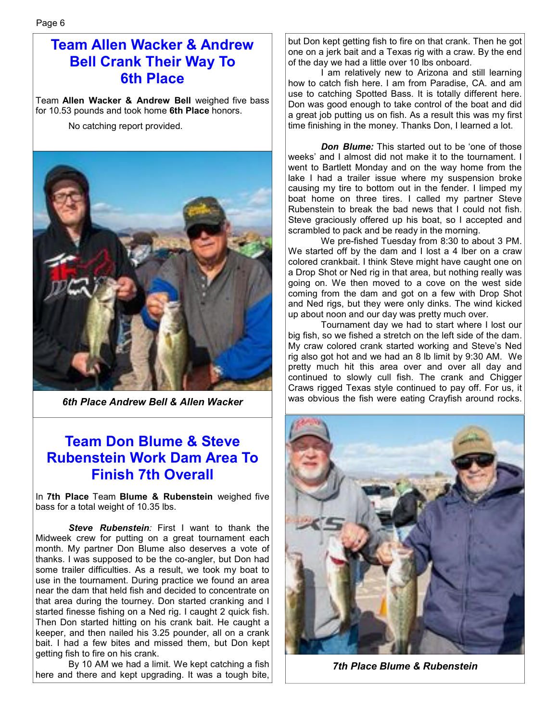### **Team Allen Wacker & Andrew Bell Crank Their Way To 6th Place**

Team **Allen Wacker & Andrew Bell** weighed five bass for 10.53 pounds and took home **6th Place** honors.

No catching report provided.



*6th Place Andrew Bell & Allen Wacker* 

### **Team Don Blume & Steve Rubenstein Work Dam Area To Finish 7th Overall**

In **7th Place** Team **Blume & Rubenstein** weighed five bass for a total weight of 10.35 lbs.

*Steve Rubenstein:* First I want to thank the Midweek crew for putting on a great tournament each month. My partner Don Blume also deserves a vote of thanks. I was supposed to be the co-angler, but Don had some trailer difficulties. As a result, we took my boat to use in the tournament. During practice we found an area near the dam that held fish and decided to concentrate on that area during the tourney. Don started cranking and I started finesse fishing on a Ned rig. I caught 2 quick fish. Then Don started hitting on his crank bait. He caught a keeper, and then nailed his 3.25 pounder, all on a crank bait. I had a few bites and missed them, but Don kept getting fish to fire on his crank.

 By 10 AM we had a limit. We kept catching a fish here and there and kept upgrading. It was a tough bite, but Don kept getting fish to fire on that crank. Then he got one on a jerk bait and a Texas rig with a craw. By the end of the day we had a little over 10 lbs onboard.

 I am relatively new to Arizona and still learning how to catch fish here. I am from Paradise, CA. and am use to catching Spotted Bass. It is totally different here. Don was good enough to take control of the boat and did a great job putting us on fish. As a result this was my first time finishing in the money. Thanks Don, I learned a lot.

 *Don Blume:* This started out to be 'one of those weeks' and I almost did not make it to the tournament. I went to Bartlett Monday and on the way home from the lake I had a trailer issue where my suspension broke causing my tire to bottom out in the fender. I limped my boat home on three tires. I called my partner Steve Rubenstein to break the bad news that I could not fish. Steve graciously offered up his boat, so I accepted and scrambled to pack and be ready in the morning.

 We pre-fished Tuesday from 8:30 to about 3 PM. We started off by the dam and I lost a 4 lber on a craw colored crankbait. I think Steve might have caught one on a Drop Shot or Ned rig in that area, but nothing really was going on. We then moved to a cove on the west side coming from the dam and got on a few with Drop Shot and Ned rigs, but they were only dinks. The wind kicked up about noon and our day was pretty much over.

 Tournament day we had to start where I lost our big fish, so we fished a stretch on the left side of the dam. My craw colored crank started working and Steve's Ned rig also got hot and we had an 8 lb limit by 9:30 AM. We pretty much hit this area over and over all day and continued to slowly cull fish. The crank and Chigger Craws rigged Texas style continued to pay off. For us, it was obvious the fish were eating Crayfish around rocks.



*7th Place Blume & Rubenstein*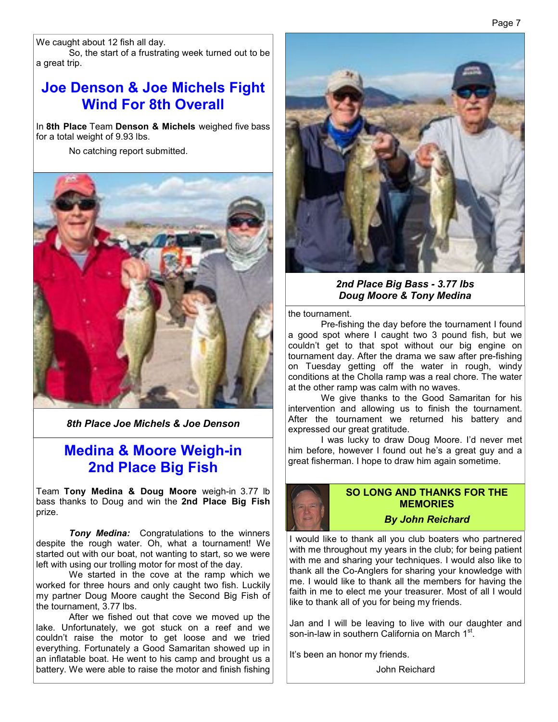We caught about 12 fish all day.

 So, the start of a frustrating week turned out to be a great trip.

### **Joe Denson & Joe Michels Fight Wind For 8th Overall**

In **8th Place** Team **Denson & Michels** weighed five bass for a total weight of 9.93 lbs.

No catching report submitted.



*8th Place Joe Michels & Joe Denson*

### **Medina & Moore Weigh-in 2nd Place Big Fish**

Team **Tony Medina & Doug Moore** weigh-in 3.77 lb bass thanks to Doug and win the **2nd Place Big Fish**  prize.

*Tony Medina:* Congratulations to the winners despite the rough water. Oh, what a tournament! We started out with our boat, not wanting to start, so we were left with using our trolling motor for most of the day.

 We started in the cove at the ramp which we worked for three hours and only caught two fish. Luckily my partner Doug Moore caught the Second Big Fish of the tournament, 3.77 lbs.

 After we fished out that cove we moved up the lake. Unfortunately, we got stuck on a reef and we couldn't raise the motor to get loose and we tried everything. Fortunately a Good Samaritan showed up in an inflatable boat. He went to his camp and brought us a battery. We were able to raise the motor and finish fishing



*2nd Place Big Bass - 3.77 lbs Doug Moore & Tony Medina* 

the tournament.

 Pre-fishing the day before the tournament I found a good spot where I caught two 3 pound fish, but we couldn't get to that spot without our big engine on tournament day. After the drama we saw after pre-fishing on Tuesday getting off the water in rough, windy conditions at the Cholla ramp was a real chore. The water at the other ramp was calm with no waves.

 We give thanks to the Good Samaritan for his intervention and allowing us to finish the tournament. After the tournament we returned his battery and expressed our great gratitude.

 I was lucky to draw Doug Moore. I'd never met him before, however I found out he's a great guy and a great fisherman. I hope to draw him again sometime.



#### **SO LONG AND THANKS FOR THE MEMORIES**

#### *By John Reichard*

I would like to thank all you club boaters who partnered with me throughout my years in the club; for being patient with me and sharing your techniques. I would also like to thank all the Co-Anglers for sharing your knowledge with me. I would like to thank all the members for having the faith in me to elect me your treasurer. Most of all I would like to thank all of you for being my friends.

Jan and I will be leaving to live with our daughter and son-in-law in southern California on March 1<sup>st</sup>.

It's been an honor my friends.

John Reichard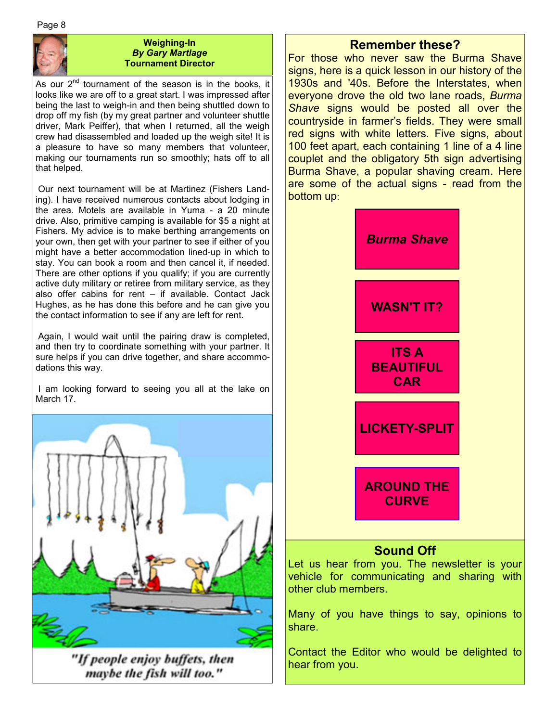Page 8



#### **Weighing-In**  *By Gary Martlage*  **Tournament Director**

As our 2<sup>nd</sup> tournament of the season is in the books, it looks like we are off to a great start. I was impressed after being the last to weigh-in and then being shuttled down to drop off my fish (by my great partner and volunteer shuttle driver, Mark Peiffer), that when I returned, all the weigh crew had disassembled and loaded up the weigh site! It is a pleasure to have so many members that volunteer, making our tournaments run so smoothly; hats off to all that helped.

 Our next tournament will be at Martinez (Fishers Landing). I have received numerous contacts about lodging in the area. Motels are available in Yuma - a 20 minute drive. Also, primitive camping is available for \$5 a night at Fishers. My advice is to make berthing arrangements on your own, then get with your partner to see if either of you might have a better accommodation lined-up in which to stay. You can book a room and then cancel it, if needed. There are other options if you qualify; if you are currently active duty military or retiree from military service, as they also offer cabins for rent – if available. Contact Jack Hughes, as he has done this before and he can give you the contact information to see if any are left for rent.

 Again, I would wait until the pairing draw is completed, and then try to coordinate something with your partner. It sure helps if you can drive together, and share accommodations this way.

 I am looking forward to seeing you all at the lake on March 17.



"If people enjoy buffets, then maybe the fish will too."

### **Remember these?**

For those who never saw the Burma Shave signs, here is a quick lesson in our history of the 1930s and '40s. Before the Interstates, when everyone drove the old two lane roads, *Burma Shave* signs would be posted all over the countryside in farmer's fields. They were small red signs with white letters. Five signs, about 100 feet apart, each containing 1 line of a 4 line couplet and the obligatory 5th sign advertising Burma Shave, a popular shaving cream. Here are some of the actual signs - read from the bottom up:



Let us hear from you. The newsletter is your vehicle for communicating and sharing with other club members.

Many of you have things to say, opinions to share.

Contact the Editor who would be delighted to hear from you.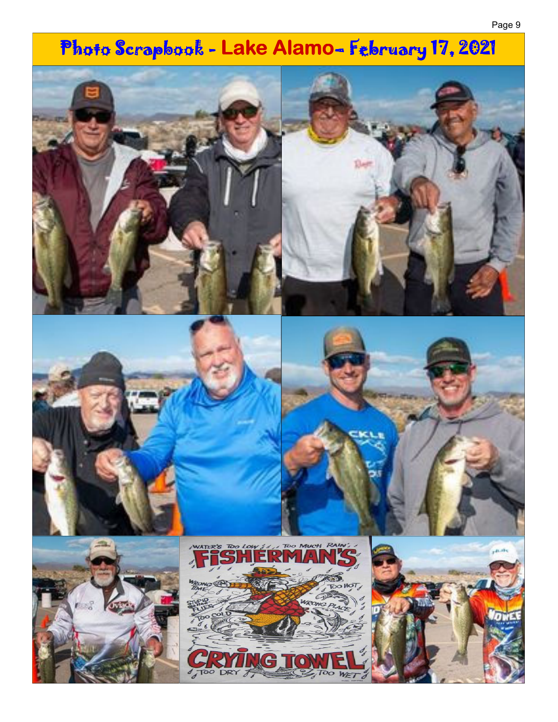# Photo Scrapbook - Lake Alamo- February 17, 2021